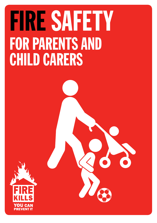## FIRE SAFETY FOR PARENTS AND CHILD CARERS

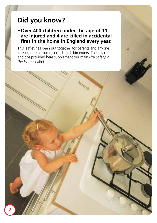## **Did you know?**

#### **• Over 400 children under the age of 11 are injured and 4 are killed in accidental fires in the home in England every year.**

This leaflet has been put together for parents and anyone looking after children, including childminders. The advice and tips provided here supplement our main *Fire Safety in the Home* leaflet.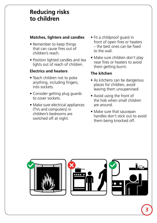## **Reducing risks to children**

#### **Matches, lighters and candles**

- Remember to keep things that can cause fires out of children's reach.
- Position lighted candles and tea lights out of reach of children.

#### **Electrics and heaters**

- Teach children not to poke anything, including fingers, into sockets.
- Consider getting plug guards to cover sockets.
- Make sure electrical appliances (TVs and computers) in children's bedrooms are switched off at night.
- Fit a childproof guard in front of open fires or heaters – the best ones can be fixed to the wall.
- Make sure children don't play near fires or heaters to avoid them getting burnt.

#### **The kitchen**

- As kitchens can be dangerous places for children, avoid leaving them unsupervised.
- Avoid using the front of the hob when small children are around.
- Make sure that saucepan handles don't stick out to avoid them being knocked off.

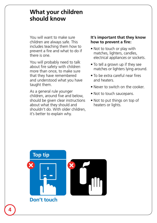### **What your children should know**

You will want to make sure children are always safe. This includes teaching them how to prevent a fire and what to do if there is one.

You will probably need to talk about fire safety with children more than once, to make sure that they have remembered and understood what you have taught them.

As a general rule younger children, around five and below, should be given clear instructions about what they should and shouldn't do. With older children, it's better to explain why.

#### **It's important that they know how to prevent a fire:**

- Not to touch or play with matches, lighters, candles, electrical appliances or sockets.
- To tell a grown up if they see matches or lighters lying around.
- To be extra careful near fires and heaters.
- Never to switch on the cooker.
- Not to touch saucepans.
- Not to put things on top of heaters or lights.

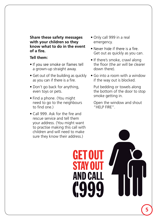**Share these safety messages with your children so they know what to do in the event of a** 

#### **Tell them:**

- If you see smoke or flames tell a grown-up straight away.
- Get out of the building as quickly as you can if there is a fire.
- Don't go back for anything, even toys or pets.
- Find a phone. (You might need to go to the neighbours to find one.)
- Call 999. Ask for the fire and rescue service and tell them your address. (You might want to practise making this call with children and will need to make sure they know their address.)

**STAY OUT** 

- Only call 999 in a real emergency.
- Never hide if there is a fire. Get out as quickly as you can.
- If there's smoke, crawl along the floor (the air will be clearer down there).
- Go into a room with a window if the way out is blocked.

 Put bedding or towels along the bottom of the door to stop smoke getting in.

 Open the window and shout "HELP FIRE".

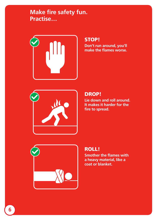## **Make fire safety fun. Practise…**



#### STOP!

**Don't run around, you'll make the flames worse.**



#### DROP!

**Lie down and roll around. It makes it harder for the fire to spread.**



#### ROLL!

**Smother the flames with a heavy material, like a coat or blanket.**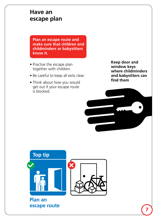## **Have an escape plan**

 **Plan an escape route and make sure that children and childminders or babysitters know it.** 

- Practise the escape plan together with children.
- Be careful to keep all exits clear.
- Think about how you would get out if your escape route is blocked.

**Keep door and window keys where childminders and babysitters can**  find them